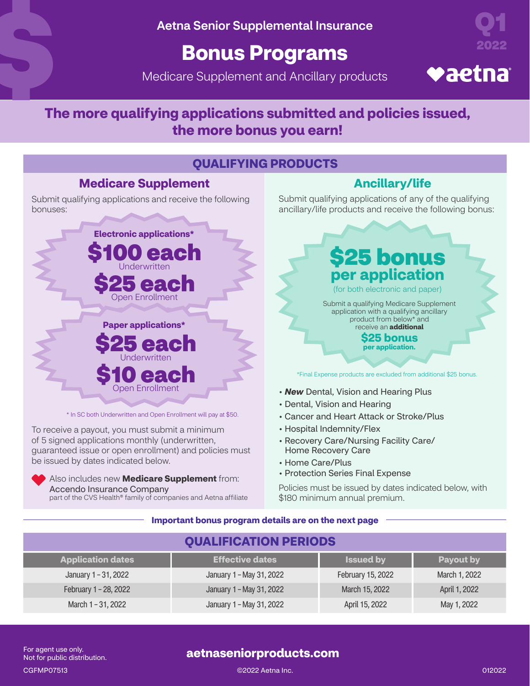Aetna Senior Supplemental Insurance

# **Bonus Programs**

Medicare Supplement and Ancillary products



# **♥aetna**

## **The more qualifying applications submitted and policies issued, the more bonus you earn!**

### **QUALIFYING PRODUCTS**

### **Medicare Supplement Ancillary/life**

Submit qualifying applications and receive the following bonuses:



\* In SC both Underwritten and Open Enrollment will pay at \$50.

To receive a payout, you must submit a minimum of 5 signed applications monthly (underwritten, guaranteed issue or open enrollment) and policies must be issued by dates indicated below.



Also includes new **Medicare Supplement** from: Accendo Insurance Company part of the CVS Health® family of companies and Aetna affiliate Submit qualifying applications of any of the qualifying ancillary/life products and receive the following bonus:

\$25 bonus **per application**

(for both electronic and paper)

Submit a qualifying Medicare Supplement application with a qualifying ancillary product from below\* and receive an **additional**

> **\$25 bonus per application.**

\*Final Expense products are excluded from additional \$25 bonus.

- *New* Dental, Vision and Hearing Plus
- Dental, Vision and Hearing
- Cancer and Heart Attack or Stroke/Plus
- Hospital Indemnity/Flex
- Recovery Care/Nursing Facility Care/ Home Recovery Care
- Home Care/Plus
- Protection Series Final Expense

Policies must be issued by dates indicated below, with \$180 minimum annual premium.

#### **Important bonus program details are on the next page**

| <b>QUALIFICATION PERIODS</b> |                          |                   |               |
|------------------------------|--------------------------|-------------------|---------------|
| <b>Application dates</b>     | <b>Effective dates</b>   | <b>Issued by</b>  | Payout by     |
| January 1-31, 2022           | January 1 - May 31, 2022 | February 15, 2022 | March 1, 2022 |
| February 1 - 28, 2022        | January 1 - May 31, 2022 | March 15, 2022    | April 1, 2022 |
| March 1 - 31, 2022           | January 1 - May 31, 2022 | April 15, 2022    | May 1, 2022   |

For agent use only. Not for public distribution.

### **aetnaseniorproducts.com**

CGFMP07513 ©2022 Aetna Inc. 012022